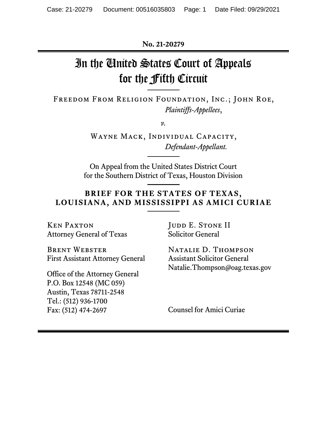**No. 21-20279**

# In the United States Court of Appeals for the Fifth Circuit

Freedom From Religion Foundation, Inc.; John Roe, *Plaintiffs-Appellees*,

*v.*

Wayne Mack, Individual Capacity, *Defendant-Appellant.*

On Appeal from the United States District Court for the Southern District of Texas, Houston Division

## **BRIEF FOR THE STATES OF TEXAS, LOUISIANA, AND MISSISSIPPI AS AMICI CURIAE**

Ken Paxton Attorney General of Texas

Brent Webster First Assistant Attorney General

Office of the Attorney General P.O. Box 12548 (MC 059) Austin, Texas 78711-2548 Tel.: (512) 936-1700 Fax: (512) 474-2697

JUDD E. STONE II Solicitor General

Natalie D. Thompson Assistant Solicitor General Natalie.Thompson@oag.texas.gov

Counsel for Amici Curiae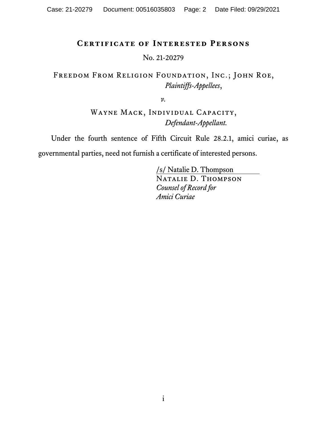## **Certificate of Interested Persons**

No. 21-20279

## Freedom From Religion Foundation, Inc.; John Roe, *Plaintiffs-Appellees*,

*v.*

WAYNE MACK, INDIVIDUAL CAPACITY, *Defendant-Appellant.*

Under the fourth sentence of Fifth Circuit Rule 28.2.1, amici curiae, as

governmental parties, need not furnish a certificate of interested persons.

/s/ Natalie D. Thompson Natalie D. Thompson *Counsel of Record for Amici Curiae*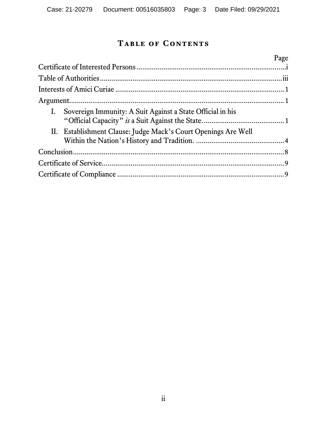## **Table of Contents**

|  |                                                                | Page |
|--|----------------------------------------------------------------|------|
|  |                                                                |      |
|  |                                                                |      |
|  |                                                                |      |
|  |                                                                |      |
|  | I. Sovereign Immunity: A Suit Against a State Official in his  |      |
|  | II. Establishment Clause: Judge Mack's Court Openings Are Well |      |
|  |                                                                |      |
|  |                                                                |      |
|  |                                                                |      |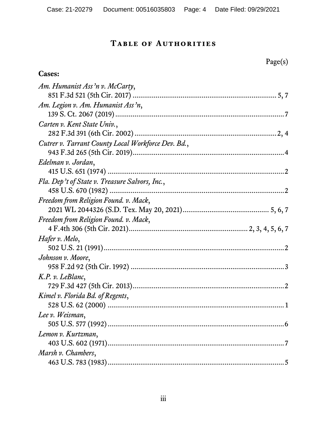## **Table of Authorities**

**Cases:**

| Am. Humanist Ass'n v. McCarty,                     |  |
|----------------------------------------------------|--|
|                                                    |  |
| Am. Legion v. Am. Humanist Ass'n,                  |  |
|                                                    |  |
| Carten v. Kent State Univ.,                        |  |
|                                                    |  |
| Cutrer v. Tarrant County Local Workforce Dev. Bd., |  |
|                                                    |  |
| Edelman v. Jordan,                                 |  |
|                                                    |  |
| Fla. Dep't of State v. Treasure Salvors, Inc.,     |  |
|                                                    |  |
| Freedom from Religion Found. v. Mack,              |  |
|                                                    |  |
| Freedom from Religion Found. v. Mack,              |  |
|                                                    |  |
| Hafer v. Melo,                                     |  |
|                                                    |  |
| Johnson v. Moore,                                  |  |
|                                                    |  |
| K.P. v. LeBlanc,                                   |  |
|                                                    |  |
| Kimel v. Florida Bd. of Regents,                   |  |
|                                                    |  |
| Lee v. Weisman,                                    |  |
|                                                    |  |
| Lemon v. Kurtzman,                                 |  |
|                                                    |  |
| Marsh v. Chambers,                                 |  |
|                                                    |  |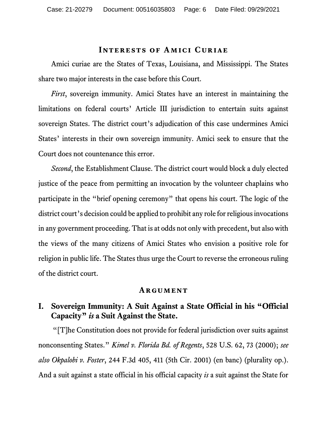#### **Interests of Amici Curiae**

Amici curiae are the States of Texas, Louisiana, and Mississippi. The States share two major interests in the case before this Court.

*First*, sovereign immunity. Amici States have an interest in maintaining the limitations on federal courts' Article III jurisdiction to entertain suits against sovereign States. The district court's adjudication of this case undermines Amici States' interests in their own sovereign immunity. Amici seek to ensure that the Court does not countenance this error.

*Second*, the Establishment Clause. The district court would block a duly elected justice of the peace from permitting an invocation by the volunteer chaplains who participate in the "brief opening ceremony" that opens his court. The logic of the district court's decision could be applied to prohibit any role for religious invocations in any government proceeding. That is at odds not only with precedent, but also with the views of the many citizens of Amici States who envision a positive role for religion in public life. The States thus urge the Court to reverse the erroneous ruling of the district court.

#### <span id="page-5-0"></span>**Argument**

## **I. Sovereign Immunity: A Suit Against a State Official in his "Official Capacity"** *is* **a Suit Against the State.**

<span id="page-5-1"></span>"[T]he Constitution does not provide for federal jurisdiction over suits against nonconsenting States." *Kimel v. Florida Bd. of Regents*, 528 U.S. 62, 73 (2000); *see also Okpalobi v. Foster*, 244 F.3d 405, 411 (5th Cir. 2001) (en banc) (plurality op.). And a suit against a state official in his official capacity *is* a suit against the State for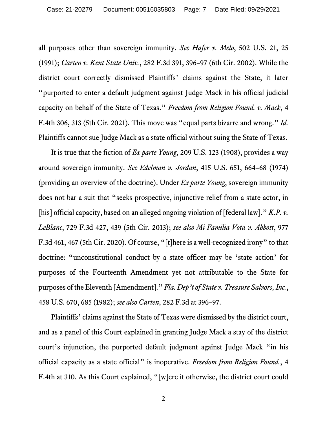<span id="page-6-5"></span><span id="page-6-0"></span>all purposes other than sovereign immunity. *See Hafer v. Melo*, 502 U.S. 21, 25 (1991); *Carten v. Kent State Univ.*, 282 F.3d 391, 396–97 (6th Cir. 2002). While the district court correctly dismissed Plaintiffs' claims against the State, it later "purported to enter a default judgment against Judge Mack in his official judicial capacity on behalf of the State of Texas." *Freedom from Religion Found. v. Mack*, 4 F.4th 306, 313 (5th Cir. 2021). This move was "equal parts bizarre and wrong." *Id.* Plaintiffs cannot sue Judge Mack as a state official without suing the State of Texas.

<span id="page-6-8"></span><span id="page-6-7"></span><span id="page-6-6"></span><span id="page-6-3"></span><span id="page-6-1"></span>It is true that the fiction of *Ex parte Young*, 209 U.S. 123 (1908), provides a way around sovereign immunity. *See Edelman v. Jordan*, 415 U.S. 651, 664–68 (1974) (providing an overview of the doctrine). Under *Ex parte Young*, sovereign immunity does not bar a suit that "seeks prospective, injunctive relief from a state actor, in [his] official capacity, based on an alleged ongoing violation of [federal law]." *K.P. v. LeBlanc*, 729 F.3d 427, 439 (5th Cir. 2013); *see also Mi Familia Vota v. Abbott*, 977 F.3d 461, 467 (5th Cir. 2020). Of course, "[t]here is a well-recognized irony" to that doctrine: "unconstitutional conduct by a state officer may be 'state action' for purposes of the Fourteenth Amendment yet not attributable to the State for purposes of the Eleventh [Amendment]." *Fla. Dep't of State v. Treasure Salvors, Inc.*, 458 U.S. 670, 685 (1982); *see also Carten*, 282 F.3d at 396–97.

<span id="page-6-9"></span><span id="page-6-4"></span><span id="page-6-2"></span>Plaintiffs' claims against the State of Texas were dismissed by the district court, and as a panel of this Court explained in granting Judge Mack a stay of the district court's injunction, the purported default judgment against Judge Mack "in his official capacity as a state official" is inoperative. *Freedom from Religion Found.*, 4 F.4th at 310. As this Court explained, "[w]ere it otherwise, the district court could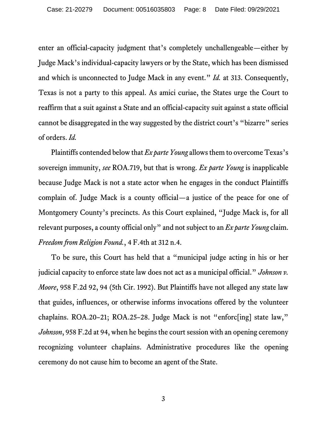enter an official-capacity judgment that's completely unchallengeable—either by Judge Mack's individual-capacity lawyers or by the State, which has been dismissed and which is unconnected to Judge Mack in any event." *Id.* at 313. Consequently, Texas is not a party to this appeal. As amici curiae, the States urge the Court to reaffirm that a suit against a State and an official-capacity suit against a state official cannot be disaggregated in the way suggested by the district court's "bizarre" series of orders. *Id.*

<span id="page-7-1"></span>Plaintiffs contended below that *Ex parte Young* allows them to overcome Texas's sovereign immunity, *see* ROA.719, but that is wrong. *Ex parte Young* is inapplicable because Judge Mack is not a state actor when he engages in the conduct Plaintiffs complain of. Judge Mack is a county official—a justice of the peace for one of Montgomery County's precincts. As this Court explained, "Judge Mack is, for all relevant purposes, a county official only" and not subject to an *Ex parte Young* claim. *Freedom from Religion Found.*, 4 F.4th at 312 n.4.

<span id="page-7-0"></span>To be sure, this Court has held that a "municipal judge acting in his or her judicial capacity to enforce state law does not act as a municipal official." *Johnson v. Moore*, 958 F.2d 92, 94 (5th Cir. 1992). But Plaintiffs have not alleged any state law that guides, influences, or otherwise informs invocations offered by the volunteer chaplains. ROA.20–21; ROA.25–28. Judge Mack is not "enforc[ing] state law," *Johnson*, 958 F.2d at 94, when he begins the court session with an opening ceremony recognizing volunteer chaplains. Administrative procedures like the opening ceremony do not cause him to become an agent of the State.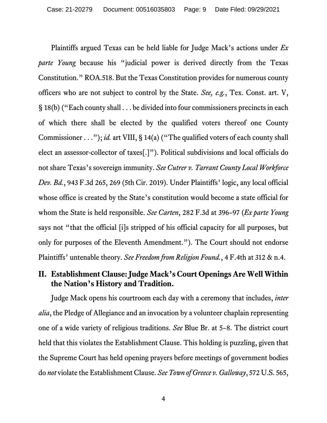<span id="page-8-6"></span><span id="page-8-5"></span><span id="page-8-4"></span>Plaintiffs argued Texas can be held liable for Judge Mack's actions under *Ex parte Young* because his "judicial power is derived directly from the Texas Constitution." ROA.518. But the Texas Constitution provides for numerous county officers who are not subject to control by the State. *See, e.g.*, Tex. Const. art. V, § 18(b) ("Each county shall . . . be divided into four commissioners precincts in each of which there shall be elected by the qualified voters thereof one County Commissioner . . ."); *id.* art VIII, § 14(a) ("The qualified voters of each county shall elect an assessor-collector of taxes[.]"). Political subdivisions and local officials do not share Texas's sovereign immunity. *See Cutrer v. Tarrant County Local Workforce Dev. Bd.*, 943 F.3d 265, 269 (5th Cir. 2019). Under Plaintiffs' logic, any local official whose office is created by the State's constitution would become a state official for whom the State is held responsible. *See Carten*, 282 F.3d at 396–97 (*Ex parte Young* says not "that the official [i]s stripped of his official capacity for all purposes, but only for purposes of the Eleventh Amendment."). The Court should not endorse Plaintiffs' untenable theory. *See Freedom from Religion Found.*, 4 F.4th at 312 & n.4.

## <span id="page-8-2"></span><span id="page-8-1"></span><span id="page-8-0"></span>**II. Establishment Clause: Judge Mack's Court Openings Are Well Within the Nation's History and Tradition.**

<span id="page-8-3"></span>Judge Mack opens his courtroom each day with a ceremony that includes, *inter alia*, the Pledge of Allegiance and an invocation by a volunteer chaplain representing one of a wide variety of religious traditions. *See* Blue Br. at 5–8. The district court held that this violates the Establishment Clause. This holding is puzzling, given that the Supreme Court has held opening prayers before meetings of government bodies do *not* violate the Establishment Clause. *See Town of Greece v. Galloway*, 572 U.S. 565,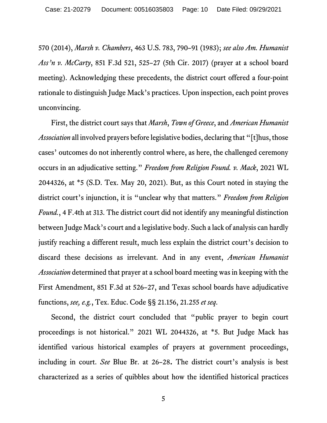<span id="page-9-3"></span><span id="page-9-0"></span>570 (2014), *Marsh v. Chambers*, 463 U.S. 783, 790–91 (1983); *see also Am. Humanist Ass'n v. McCarty*, 851 F.3d 521, 525–27 (5th Cir. 2017) (prayer at a school board meeting). Acknowledging these precedents, the district court offered a four-point rationale to distinguish Judge Mack's practices. Upon inspection, each point proves unconvincing.

<span id="page-9-2"></span><span id="page-9-1"></span>First, the district court says that *Marsh*, *Town of Greece*, and *American Humanist Association* all involved prayers before legislative bodies, declaring that "[t]hus, those cases' outcomes do not inherently control where, as here, the challenged ceremony occurs in an adjudicative setting." *Freedom from Religion Found. v. Mack*, 2021 WL 2044326, at \*5 (S.D. Tex. May 20, 2021). But, as this Court noted in staying the district court's injunction, it is "unclear why that matters." *Freedom from Religion Found.*, 4 F.4th at 313. The district court did not identify any meaningful distinction between Judge Mack's court and a legislative body. Such a lack of analysis can hardly justify reaching a different result, much less explain the district court's decision to discard these decisions as irrelevant. And in any event, *American Humanist Association* determined that prayer at a school board meeting was in keeping with the First Amendment, 851 F.3d at 526–27, and Texas school boards have adjudicative functions, *see, e.g.*, Tex. Educ. Code §§ 21.156, 21.255 *et seq*.

Second, the district court concluded that "public prayer to begin court proceedings is not historical." 2021 WL 2044326, at \*5. But Judge Mack has identified various historical examples of prayers at government proceedings, including in court. *See* Blue Br. at 26–28**.** The district court's analysis is best characterized as a series of quibbles about how the identified historical practices

5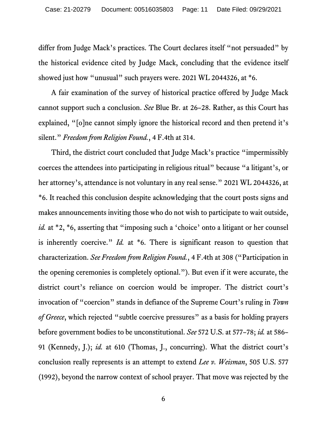differ from Judge Mack's practices. The Court declares itself "not persuaded" by the historical evidence cited by Judge Mack, concluding that the evidence itself showed just how "unusual" such prayers were. 2021 WL 2044326, at  $*6$ .

<span id="page-10-0"></span>A fair examination of the survey of historical practice offered by Judge Mack cannot support such a conclusion. *See* Blue Br. at 26–28. Rather, as this Court has explained, "[o]ne cannot simply ignore the historical record and then pretend it's silent." *Freedom from Religion Found.*, 4 F.4th at 314.

<span id="page-10-3"></span><span id="page-10-2"></span><span id="page-10-1"></span>Third, the district court concluded that Judge Mack's practice "impermissibly coerces the attendees into participating in religious ritual" because "a litigant's, or her attorney's, attendance is not voluntary in any real sense." 2021 WL 2044326, at \*6. It reached this conclusion despite acknowledging that the court posts signs and makes announcements inviting those who do not wish to participate to wait outside, *id.* at \*2, \*6, asserting that "imposing such a 'choice' onto a litigant or her counsel is inherently coercive." *Id.* at \*6. There is significant reason to question that characterization. *See Freedom from Religion Found.*, 4 F.4th at 308 ("Participation in the opening ceremonies is completely optional."). But even if it were accurate, the district court's reliance on coercion would be improper. The district court's invocation of "coercion" stands in defiance of the Supreme Court's ruling in *Town of Greece*, which rejected "subtle coercive pressures" as a basis for holding prayers before government bodies to be unconstitutional. *See* 572 U.S. at 577–78; *id.* at 586– 91 (Kennedy, J.); *id.* at 610 (Thomas, J., concurring). What the district court's conclusion really represents is an attempt to extend *Lee v. Weisman*, 505 U.S. 577 (1992), beyond the narrow context of school prayer. That move was rejected by the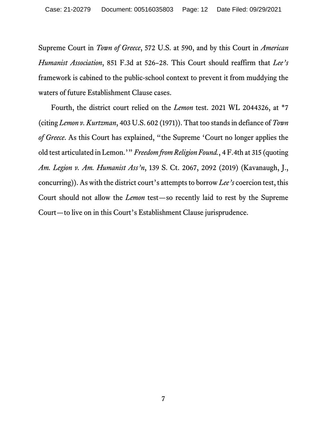<span id="page-11-0"></span>Supreme Court in *Town of Greece*, 572 U.S. at 590, and by this Court in *American Humanist Association*, 851 F.3d at 526–28. This Court should reaffirm that *Lee's* framework is cabined to the public-school context to prevent it from muddying the waters of future Establishment Clause cases.

<span id="page-11-6"></span><span id="page-11-5"></span><span id="page-11-4"></span><span id="page-11-3"></span><span id="page-11-2"></span><span id="page-11-1"></span>Fourth, the district court relied on the *Lemon* test. 2021 WL 2044326, at \*7 (citing *Lemon v. Kurtzman*, 403 U.S. 602 (1971)). That too stands in defiance of *Town of Greece*. As this Court has explained, "the Supreme 'Court no longer applies the old test articulated in Lemon.'" *Freedom from Religion Found.*, 4 F.4th at 315 (quoting *Am. Legion v. Am. Humanist Ass'n*, 139 S. Ct. 2067, 2092 (2019) (Kavanaugh, J., concurring)). As with the district court's attempts to borrow *Lee's* coercion test, this Court should not allow the *Lemon* test—so recently laid to rest by the Supreme Court—to live on in this Court's Establishment Clause jurisprudence.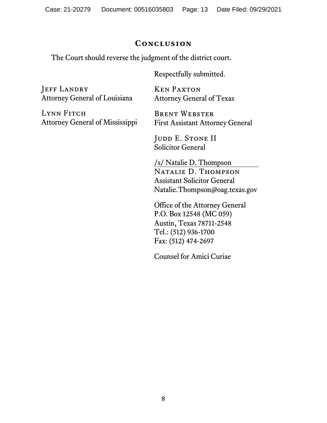### **Conclusion**

The Court should reverse the judgment of the district court.

Respectfully submitted.

JEFF LANDRY Attorney General of Louisiana

LYNN FITCH Attorney General of Mississippi

Ken Paxton Attorney General of Texas

Brent Webster First Assistant Attorney General

JUDD E. STONE II Solicitor General

/s/ Natalie D. Thompson Natalie D. Thompson Assistant Solicitor General Natalie.Thompson@oag.texas.gov

Office of the Attorney General P.O. Box 12548 (MC 059) Austin, Texas 78711-2548 Tel.: (512) 936-1700 Fax: (512) 474-2697

Counsel for Amici Curiae